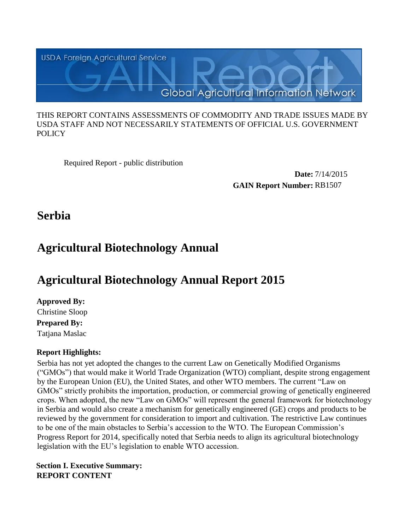

#### THIS REPORT CONTAINS ASSESSMENTS OF COMMODITY AND TRADE ISSUES MADE BY USDA STAFF AND NOT NECESSARILY STATEMENTS OF OFFICIAL U.S. GOVERNMENT **POLICY**

Required Report - public distribution

**Date:** 7/14/2015 **GAIN Report Number:** RB1507

**Serbia**

# **Agricultural Biotechnology Annual**

# **Agricultural Biotechnology Annual Report 2015**

**Approved By: Prepared By:**  Tatjana Maslac Christine Sloop

# **Report Highlights:**

Serbia has not yet adopted the changes to the current Law on Genetically Modified Organisms ("GMOs") that would make it World Trade Organization (WTO) compliant, despite strong engagement by the European Union (EU), the United States, and other WTO members. The current "Law on GMOs" strictly prohibits the importation, production, or commercial growing of genetically engineered crops. When adopted, the new "Law on GMOs" will represent the general framework for biotechnology in Serbia and would also create a mechanism for genetically engineered (GE) crops and products to be reviewed by the government for consideration to import and cultivation. The restrictive Law continues to be one of the main obstacles to Serbia's accession to the WTO. The European Commission's Progress Report for 2014, specifically noted that Serbia needs to align its agricultural biotechnology legislation with the EU's legislation to enable WTO accession.

**Section I. Executive Summary: REPORT CONTENT**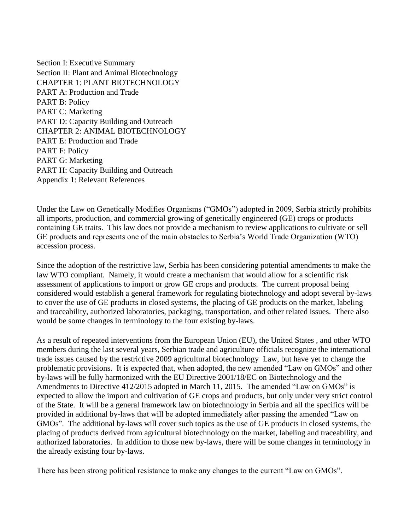Section I: Executive Summary Section II: Plant and Animal Biotechnology CHAPTER 1: PLANT BIOTECHNOLOGY PART A: Production and Trade PART B: Policy PART C: Marketing PART D: Capacity Building and Outreach CHAPTER 2: ANIMAL BIOTECHNOLOGY PART E: Production and Trade PART F: Policy PART G: Marketing PART H: Capacity Building and Outreach Appendix 1: Relevant References

Under the Law on Genetically Modifies Organisms ("GMOs") adopted in 2009, Serbia strictly prohibits all imports, production, and commercial growing of genetically engineered (GE) crops or products containing GE traits. This law does not provide a mechanism to review applications to cultivate or sell GE products and represents one of the main obstacles to Serbia's World Trade Organization (WTO) accession process.

Since the adoption of the restrictive law, Serbia has been considering potential amendments to make the law WTO compliant. Namely, it would create a mechanism that would allow for a scientific risk assessment of applications to import or grow GE crops and products. The current proposal being considered would establish a general framework for regulating biotechnology and adopt several by-laws to cover the use of GE products in closed systems, the placing of GE products on the market, labeling and traceability, authorized laboratories, packaging, transportation, and other related issues. There also would be some changes in terminology to the four existing by-laws.

As a result of repeated interventions from the European Union (EU), the United States , and other WTO members during the last several years, Serbian trade and agriculture officials recognize the international trade issues caused by the restrictive 2009 agricultural biotechnology Law, but have yet to change the problematic provisions. It is expected that, when adopted, the new amended "Law on GMOs" and other by-laws will be fully harmonized with the EU Directive 2001/18/EC on Biotechnology and the Amendments to Directive 412/2015 adopted in March 11, 2015. The amended "Law on GMOs" is expected to allow the import and cultivation of GE crops and products, but only under very strict control of the State. It will be a general framework law on biotechnology in Serbia and all the specifics will be provided in additional by-laws that will be adopted immediately after passing the amended "Law on GMOs". The additional by-laws will cover such topics as the use of GE products in closed systems, the placing of products derived from agricultural biotechnology on the market, labeling and traceability, and authorized laboratories. In addition to those new by-laws, there will be some changes in terminology in the already existing four by-laws.

There has been strong political resistance to make any changes to the current "Law on GMOs".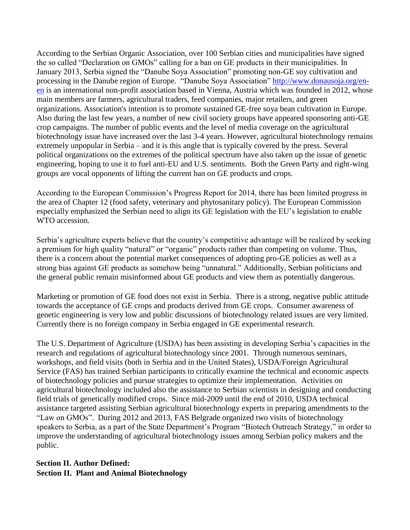According to the Serbian Organic Association, over 100 Serbian cities and municipalities have signed the so called "Declaration on GMOs" calling for a ban on GE products in their municipalities. In January 2013, Serbia signed the "Danube Soya Association" promoting non-GE soy cultivation and processing in the Danube region of Europe. "Danube Soya Association" [http://www.donausoja.org/en](http://www.donausoja.org/en-en)[en](http://www.donausoja.org/en-en) is an international non-profit association based in Vienna, Austria which was founded in 2012, whose main members are farmers, agricultural traders, feed companies, major retailers, and green organizations. Association's intention is to promote sustained GE-free soya bean cultivation in Europe. Also during the last few years, a number of new civil society groups have appeared sponsoring anti-GE crop campaigns. The number of public events and the level of media coverage on the agricultural biotechnology issue have increased over the last 3-4 years. However, agricultural biotechnology remains extremely unpopular in Serbia – and it is this angle that is typically covered by the press. Several political organizations on the extremes of the political spectrum have also taken up the issue of genetic engineering, hoping to use it to fuel anti-EU and U.S. sentiments. Both the Green Party and right-wing groups are vocal opponents of lifting the current ban on GE products and crops.

According to the European Commission's Progress Report for 2014, there has been limited progress in the area of Chapter 12 (food safety, veterinary and phytosanitary policy). The European Commission especially emphasized the Serbian need to align its GE legislation with the EU's legislation to enable WTO accession.

Serbia's agriculture experts believe that the country's competitive advantage will be realized by seeking a premium for high quality "natural" or "organic" products rather than competing on volume. Thus, there is a concern about the potential market consequences of adopting pro-GE policies as well as a strong bias against GE products as somehow being "unnatural." Additionally, Serbian politicians and the general public remain misinformed about GE products and view them as potentially dangerous.

Marketing or promotion of GE food does not exist in Serbia. There is a strong, negative public attitude towards the acceptance of GE crops and products derived from GE crops. Consumer awareness of genetic engineering is very low and public discussions of biotechnology related issues are very limited. Currently there is no foreign company in Serbia engaged in GE experimental research.

The U.S. Department of Agriculture (USDA) has been assisting in developing Serbia's capacities in the research and regulations of agricultural biotechnology since 2001. Through numerous seminars, workshops, and field visits (both in Serbia and in the United States), USDA/Foreign Agricultural Service (FAS) has trained Serbian participants to critically examine the technical and economic aspects of biotechnology policies and pursue strategies to optimize their implementation. Activities on agricultural biotechnology included also the assistance to Serbian scientists in designing and conducting field trials of genetically modified crops. Since mid-2009 until the end of 2010, USDA technical assistance targeted assisting Serbian agricultural biotechnology experts in preparing amendments to the "Law on GMOs". During 2012 and 2013, FAS Belgrade organized two visits of biotechnology speakers to Serbia, as a part of the State Department's Program "Biotech Outreach Strategy," in order to improve the understanding of agricultural biotechnology issues among Serbian policy makers and the public.

## **Section II. Author Defined: Section II. Plant and Animal Biotechnology**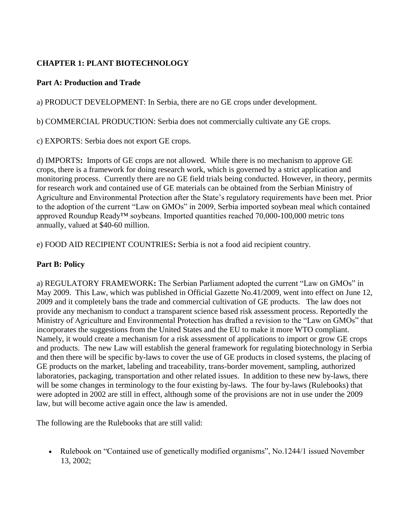## **CHAPTER 1: PLANT BIOTECHNOLOGY**

### **Part A: Production and Trade**

a) PRODUCT DEVELOPMENT: In Serbia, there are no GE crops under development.

b) COMMERCIAL PRODUCTION: Serbia does not commercially cultivate any GE crops.

c) EXPORTS: Serbia does not export GE crops.

d) IMPORTS**:** Imports of GE crops are not allowed. While there is no mechanism to approve GE crops, there is a framework for doing research work, which is governed by a strict application and monitoring process. Currently there are no GE field trials being conducted. However, in theory, permits for research work and contained use of GE materials can be obtained from the Serbian Ministry of Agriculture and Environmental Protection after the State's regulatory requirements have been met. Prior to the adoption of the current "Law on GMOs" in 2009, Serbia imported soybean meal which contained approved Roundup Ready™ soybeans. Imported quantities reached 70,000-100,000 metric tons annually, valued at \$40-60 million.

e) FOOD AID RECIPIENT COUNTRIES**:** Serbia is not a food aid recipient country.

## **Part B: Policy**

a) REGULATORY FRAMEWORK**:** The Serbian Parliament adopted the current "Law on GMOs" in May 2009. This Law, which was published in Official Gazette No.41/2009, went into effect on June 12, 2009 and it completely bans the trade and commercial cultivation of GE products. The law does not provide any mechanism to conduct a transparent science based risk assessment process. Reportedly the Ministry of Agriculture and Environmental Protection has drafted a revision to the "Law on GMOs" that incorporates the suggestions from the United States and the EU to make it more WTO compliant. Namely, it would create a mechanism for a risk assessment of applications to import or grow GE crops and products. The new Law will establish the general framework for regulating biotechnology in Serbia and then there will be specific by-laws to cover the use of GE products in closed systems, the placing of GE products on the market, labeling and traceability, trans-border movement, sampling, authorized laboratories, packaging, transportation and other related issues. In addition to these new by-laws, there will be some changes in terminology to the four existing by-laws. The four by-laws (Rulebooks) that were adopted in 2002 are still in effect, although some of the provisions are not in use under the 2009 law, but will become active again once the law is amended.

The following are the Rulebooks that are still valid:

• Rulebook on "Contained use of genetically modified organisms", No.1244/1 issued November 13, 2002;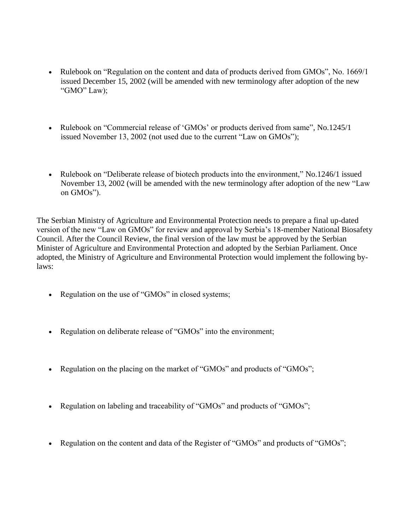- Rulebook on "Regulation on the content and data of products derived from GMOs", No. 1669/1 issued December 15, 2002 (will be amended with new terminology after adoption of the new "GMO" Law);
- Rulebook on "Commercial release of 'GMOs' or products derived from same", No.1245/1 issued November 13, 2002 (not used due to the current "Law on GMOs");
- Rulebook on "Deliberate release of biotech products into the environment," No.1246/1 issued November 13, 2002 (will be amended with the new terminology after adoption of the new "Law on GMOs").

The Serbian Ministry of Agriculture and Environmental Protection needs to prepare a final up-dated version of the new "Law on GMOs" for review and approval by Serbia's 18-member National Biosafety Council. After the Council Review, the final version of the law must be approved by the Serbian Minister of Agriculture and Environmental Protection and adopted by the Serbian Parliament. Once adopted, the Ministry of Agriculture and Environmental Protection would implement the following bylaws:

- Regulation on the use of "GMOs" in closed systems;
- Regulation on deliberate release of "GMOs" into the environment;
- Regulation on the placing on the market of "GMOs" and products of "GMOs";
- Regulation on labeling and traceability of "GMOs" and products of "GMOs";
- Regulation on the content and data of the Register of "GMOs" and products of "GMOs";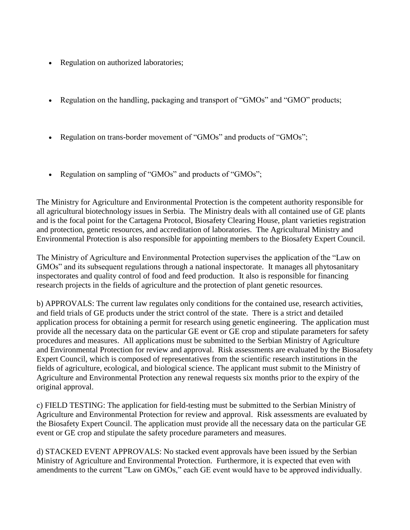- Regulation on authorized laboratories;
- Regulation on the handling, packaging and transport of "GMOs" and "GMO" products;
- Regulation on trans-border movement of "GMOs" and products of "GMOs";
- Regulation on sampling of "GMOs" and products of "GMOs";

The Ministry for Agriculture and Environmental Protection is the competent authority responsible for all agricultural biotechnology issues in Serbia. The Ministry deals with all contained use of GE plants and is the focal point for the Cartagena Protocol, Biosafety Clearing House, plant varieties registration and protection, genetic resources, and accreditation of laboratories. The Agricultural Ministry and Environmental Protection is also responsible for appointing members to the Biosafety Expert Council.

The Ministry of Agriculture and Environmental Protection supervises the application of the "Law on GMOs" and its subsequent regulations through a national inspectorate. It manages all phytosanitary inspectorates and quality control of food and feed production. It also is responsible for financing research projects in the fields of agriculture and the protection of plant genetic resources.

b) APPROVALS: The current law regulates only conditions for the contained use, research activities, and field trials of GE products under the strict control of the state. There is a strict and detailed application process for obtaining a permit for research using genetic engineering. The application must provide all the necessary data on the particular GE event or GE crop and stipulate parameters for safety procedures and measures. All applications must be submitted to the Serbian Ministry of Agriculture and Environmental Protection for review and approval. Risk assessments are evaluated by the Biosafety Expert Council, which is composed of representatives from the scientific research institutions in the fields of agriculture, ecological, and biological science. The applicant must submit to the Ministry of Agriculture and Environmental Protection any renewal requests six months prior to the expiry of the original approval.

c) FIELD TESTING: The application for field-testing must be submitted to the Serbian Ministry of Agriculture and Environmental Protection for review and approval. Risk assessments are evaluated by the Biosafety Expert Council. The application must provide all the necessary data on the particular GE event or GE crop and stipulate the safety procedure parameters and measures.

d) STACKED EVENT APPROVALS: No stacked event approvals have been issued by the Serbian Ministry of Agriculture and Environmental Protection. Furthermore, it is expected that even with amendments to the current "Law on GMOs," each GE event would have to be approved individually.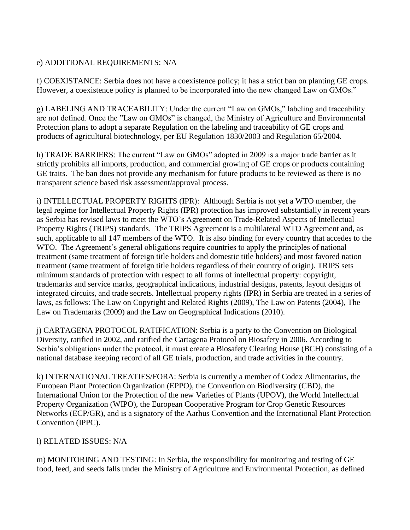## e) ADDITIONAL REQUIREMENTS: N/A

f) COEXISTANCE: Serbia does not have a coexistence policy; it has a strict ban on planting GE crops. However, a coexistence policy is planned to be incorporated into the new changed Law on GMOs."

g) LABELING AND TRACEABILITY: Under the current "Law on GMOs," labeling and traceability are not defined. Once the "Law on GMOs" is changed, the Ministry of Agriculture and Environmental Protection plans to adopt a separate Regulation on the labeling and traceability of GE crops and products of agricultural biotechnology, per EU Regulation 1830/2003 and Regulation 65/2004.

h) TRADE BARRIERS: The current "Law on GMOs" adopted in 2009 is a major trade barrier as it strictly prohibits all imports, production, and commercial growing of GE crops or products containing GE traits. The ban does not provide any mechanism for future products to be reviewed as there is no transparent science based risk assessment/approval process.

i) INTELLECTUAL PROPERTY RIGHTS (IPR): Although Serbia is not yet a WTO member, the legal regime for Intellectual Property Rights (IPR) protection has improved substantially in recent years as Serbia has revised laws to meet the WTO's Agreement on Trade-Related Aspects of Intellectual Property Rights (TRIPS) standards. The TRIPS Agreement is a multilateral WTO Agreement and, as such, applicable to all 147 members of the WTO. It is also binding for every country that accedes to the WTO. The Agreement's general obligations require countries to apply the principles of national treatment (same treatment of foreign title holders and domestic title holders) and most favored nation treatment (same treatment of foreign title holders regardless of their country of origin). TRIPS sets minimum standards of protection with respect to all forms of intellectual property: copyright, trademarks and service marks, geographical indications, industrial designs, patents, layout designs of integrated circuits, and trade secrets. Intellectual property rights (IPR) in Serbia are treated in a series of laws, as follows: The Law on Copyright and Related Rights (2009), The Law on Patents (2004), The Law on Trademarks (2009) and the Law on Geographical Indications (2010).

j) CARTAGENA PROTOCOL RATIFICATION: Serbia is a party to the Convention on Biological Diversity, ratified in 2002, and ratified the Cartagena Protocol on Biosafety in 2006. According to Serbia's obligations under the protocol, it must create a Biosafety Clearing House (BCH) consisting of a national database keeping record of all GE trials, production, and trade activities in the country.

k) INTERNATIONAL TREATIES/FORA: Serbia is currently a member of Codex Alimentarius, the European Plant Protection Organization (EPPO), the Convention on Biodiversity (CBD), the International Union for the Protection of the new Varieties of Plants (UPOV), the World Intellectual Property Organization (WIPO), the European Cooperative Program for Crop Genetic Resources Networks (ECP/GR), and is a signatory of the Aarhus Convention and the International Plant Protection Convention (IPPC).

#### l) RELATED ISSUES: N/A

m) MONITORING AND TESTING: In Serbia, the responsibility for monitoring and testing of GE food, feed, and seeds falls under the Ministry of Agriculture and Environmental Protection, as defined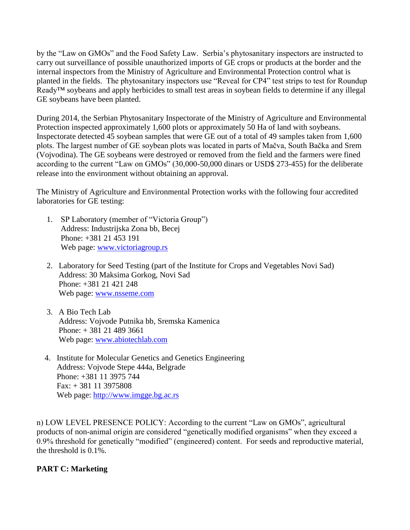by the "Law on GMOs" and the Food Safety Law. Serbia's phytosanitary inspectors are instructed to carry out surveillance of possible unauthorized imports of GE crops or products at the border and the internal inspectors from the Ministry of Agriculture and Environmental Protection control what is planted in the fields. The phytosanitary inspectors use "Reveal for CP4" test strips to test for Roundup Ready<sup>™</sup> soybeans and apply herbicides to small test areas in soybean fields to determine if any illegal GE soybeans have been planted.

During 2014, the Serbian Phytosanitary Inspectorate of the Ministry of Agriculture and Environmental Protection inspected approximately 1,600 plots or approximately 50 Ha of land with soybeans. Inspectorate detected 45 soybean samples that were GE out of a total of 49 samples taken from 1,600 plots. The largest number of GE soybean plots was located in parts of Mačva, South Bačka and Srem (Vojvodina). The GE soybeans were destroyed or removed from the field and the farmers were fined according to the current "Law on GMOs" (30,000-50,000 dinars or USD\$ 273-455) for the deliberate release into the environment without obtaining an approval.

The Ministry of Agriculture and Environmental Protection works with the following four accredited laboratories for GE testing:

- 1. SP Laboratory (member of "Victoria Group") Address: Industrijska Zona bb, Becej Phone: +381 21 453 191 Web page: [www.victoriagroup.rs](http://www.victoriagroup.rs/)
- 2. Laboratory for Seed Testing (part of the Institute for Crops and Vegetables Novi Sad) Address: 30 Maksima Gorkog, Novi Sad Phone: +381 21 421 248 Web page: [www.nsseme.com](http://www.nsseme.com/)
- 3. A Bio Tech Lab Address: Vojvode Putnika bb, Sremska Kamenica Phone: + 381 21 489 3661 Web page: [www.abiotechlab.com](http://www.abiotechlab.com/)
- 4. Institute for Molecular Genetics and Genetics Engineering Address: Vojvode Stepe 444a, Belgrade Phone: +381 11 3975 744 Fax: + 381 11 3975808 Web page: [http://www.imgge.bg.ac.rs](http://www.imgge.bg.ac.rs/)

n) LOW LEVEL PRESENCE POLICY: According to the current "Law on GMOs", agricultural products of non-animal origin are considered "genetically modified organisms" when they exceed a 0.9% threshold for genetically "modified" (engineered) content. For seeds and reproductive material, the threshold is 0.1%.

## **PART C: Marketing**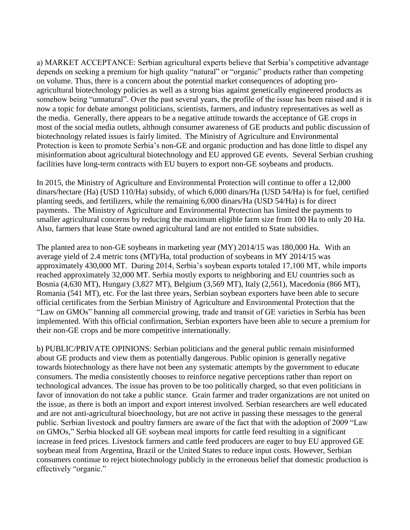a) MARKET ACCEPTANCE: Serbian agricultural experts believe that Serbia's competitive advantage depends on seeking a premium for high quality "natural" or "organic" products rather than competing on volume. Thus, there is a concern about the potential market consequences of adopting proagricultural biotechnology policies as well as a strong bias against genetically engineered products as somehow being "unnatural". Over the past several years, the profile of the issue has been raised and it is now a topic for debate amongst politicians, scientists, farmers, and industry representatives as well as the media. Generally, there appears to be a negative attitude towards the acceptance of GE crops in most of the social media outlets, although consumer awareness of GE products and public discussion of biotechnology related issues is fairly limited. The Ministry of Agriculture and Environmental Protection is keen to promote Serbia's non-GE and organic production and has done little to dispel any misinformation about agricultural biotechnology and EU approved GE events. Several Serbian crushing facilities have long-term contracts with EU buyers to export non-GE soybeans and products.

In 2015, the Ministry of Agriculture and Environmental Protection will continue to offer a 12,000 dinars/hectare (Ha) (USD 110/Ha) subsidy, of which 6,000 dinars/Ha (USD 54/Ha) is for fuel, certified planting seeds, and fertilizers, while the remaining 6,000 dinars/Ha (USD 54/Ha) is for direct payments. The Ministry of Agriculture and Environmental Protection has limited the payments to smaller agricultural concerns by reducing the maximum eligible farm size from 100 Ha to only 20 Ha. Also, farmers that lease State owned agricultural land are not entitled to State subsidies.

The planted area to non-GE soybeans in marketing year (MY) 2014/15 was 180,000 Ha. With an average yield of 2.4 metric tons (MT)/Ha, total production of soybeans in MY 2014/15 was approximately 430,000 MT. During 2014, Serbia's soybean exports totaled 17,100 MT, while imports reached approximately 32,000 MT. Serbia mostly exports to neighboring and EU countries such as Bosnia (4,630 MT), Hungary (3,827 MT), Belgium (3,569 MT), Italy (2,561), Macedonia (866 MT), Romania (541 MT), etc. For the last three years, Serbian soybean exporters have been able to secure official certificates from the Serbian Ministry of Agriculture and Environmental Protection that the "Law on GMOs" banning all commercial growing, trade and transit of GE varieties in Serbia has been implemented. With this official confirmation, Serbian exporters have been able to secure a premium for their non-GE crops and be more competitive internationally.

b) PUBLIC/PRIVATE OPINIONS: Serbian politicians and the general public remain misinformed about GE products and view them as potentially dangerous. Public opinion is generally negative towards biotechnology as there have not been any systematic attempts by the government to educate consumers. The media consistently chooses to reinforce negative perceptions rather than report on technological advances. The issue has proven to be too politically charged, so that even politicians in favor of innovation do not take a public stance. Grain farmer and trader organizations are not united on the issue, as there is both an import and export interest involved. Serbian researchers are well educated and are not anti-agricultural bioechnology, but are not active in passing these messages to the general public. Serbian livestock and poultry farmers are aware of the fact that with the adoption of 2009 "Law on GMOs," Serbia blocked all GE soybean meal imports for cattle feed resulting in a significant increase in feed prices. Livestock farmers and cattle feed producers are eager to buy EU approved GE soybean meal from Argentina, Brazil or the United States to reduce input costs. However, Serbian consumers continue to reject biotechnology publicly in the erroneous belief that domestic production is effectively "organic."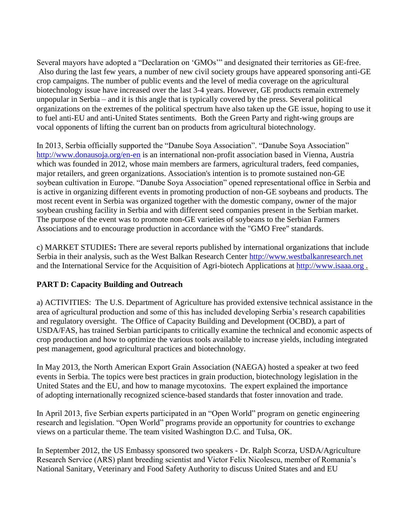Several mayors have adopted a "Declaration on 'GMOs'" and designated their territories as GE-free. Also during the last few years, a number of new civil society groups have appeared sponsoring anti-GE crop campaigns. The number of public events and the level of media coverage on the agricultural biotechnology issue have increased over the last 3-4 years. However, GE products remain extremely unpopular in Serbia – and it is this angle that is typically covered by the press. Several political organizations on the extremes of the political spectrum have also taken up the GE issue, hoping to use it to fuel anti-EU and anti-United States sentiments. Both the Green Party and right-wing groups are vocal opponents of lifting the current ban on products from agricultural biotechnology.

In 2013, Serbia officially supported the "Danube Soya Association". "Danube Soya Association" <http://www.donausoja.org/en-en> is an international non-profit association based in Vienna, Austria which was founded in 2012, whose main members are farmers, agricultural traders, feed companies, major retailers, and green organizations. Association's intention is to promote sustained non-GE soybean cultivation in Europe. "Danube Soya Association" opened representational office in Serbia and is active in organizing different events in promoting production of non-GE soybeans and products. The most recent event in Serbia was organized together with the domestic company, owner of the major soybean crushing facility in Serbia and with different seed companies present in the Serbian market. The purpose of the event was to promote non-GE varieties of soybeans to the Serbian Farmers Associations and to encourage production in accordance with the "GMO Free" standards.

c) MARKET STUDIES**:** There are several reports published by international organizations that include Serbia in their analysis, such as the West Balkan Research Center [http://www.westbalkanresearch.net](http://www.westbalkanresearch.net/) and the International Service for the Acquisition of Agri-biotech Applications at [http://www.isaaa.org](http://www.isaaa.org/) .

## **PART D: Capacity Building and Outreach**

a) ACTIVITIES: The U.S. Department of Agriculture has provided extensive technical assistance in the area of agricultural production and some of this has included developing Serbia's research capabilities and regulatory oversight. The Office of Capacity Building and Development (OCBD), a part of USDA/FAS, has trained Serbian participants to critically examine the technical and economic aspects of crop production and how to optimize the various tools available to increase yields, including integrated pest management, good agricultural practices and biotechnology.

In May 2013, the North American Export Grain Association (NAEGA) hosted a speaker at two feed events in Serbia. The topics were best practices in grain production, biotechnology legislation in the United States and the EU, and how to manage mycotoxins. The expert explained the importance of adopting internationally recognized science-based standards that foster innovation and trade.

In April 2013, five Serbian experts participated in an "Open World" program on genetic engineering research and legislation. "Open World" programs provide an opportunity for countries to exchange views on a particular theme. The team visited Washington D.C. and Tulsa, OK.

In September 2012, the US Embassy sponsored two speakers - Dr. Ralph Scorza, USDA/Agriculture Research Service (ARS) plant breeding scientist and Victor Felix Nicolescu, member of Romania's National Sanitary, Veterinary and Food Safety Authority to discuss United States and and EU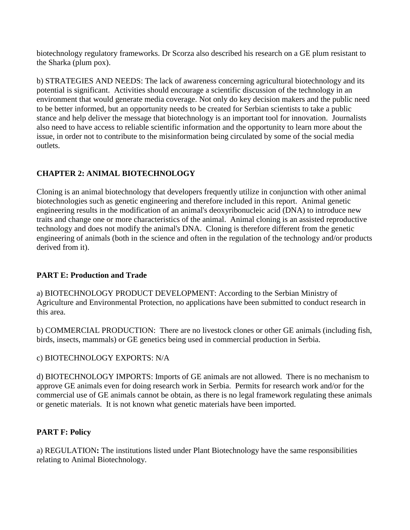biotechnology regulatory frameworks. Dr Scorza also described his research on a GE plum resistant to the Sharka (plum pox).

b) STRATEGIES AND NEEDS: The lack of awareness concerning agricultural biotechnology and its potential is significant. Activities should encourage a scientific discussion of the technology in an environment that would generate media coverage. Not only do key decision makers and the public need to be better informed, but an opportunity needs to be created for Serbian scientists to take a public stance and help deliver the message that biotechnology is an important tool for innovation. Journalists also need to have access to reliable scientific information and the opportunity to learn more about the issue, in order not to contribute to the misinformation being circulated by some of the social media outlets.

# **CHAPTER 2: ANIMAL BIOTECHNOLOGY**

Cloning is an animal biotechnology that developers frequently utilize in conjunction with other animal biotechnologies such as genetic engineering and therefore included in this report. Animal genetic engineering results in the modification of an animal's deoxyribonucleic acid (DNA) to introduce new traits and change one or more characteristics of the animal. Animal cloning is an assisted reproductive technology and does not modify the animal's DNA. Cloning is therefore different from the genetic engineering of animals (both in the science and often in the regulation of the technology and/or products derived from it).

## **PART E: Production and Trade**

a) BIOTECHNOLOGY PRODUCT DEVELOPMENT: According to the Serbian Ministry of Agriculture and Environmental Protection, no applications have been submitted to conduct research in this area.

b) COMMERCIAL PRODUCTION: There are no livestock clones or other GE animals (including fish, birds, insects, mammals) or GE genetics being used in commercial production in Serbia.

## c) BIOTECHNOLOGY EXPORTS: N/A

d) BIOTECHNOLOGY IMPORTS: Imports of GE animals are not allowed. There is no mechanism to approve GE animals even for doing research work in Serbia. Permits for research work and/or for the commercial use of GE animals cannot be obtain, as there is no legal framework regulating these animals or genetic materials. It is not known what genetic materials have been imported.

## **PART F: Policy**

a) REGULATION**:** The institutions listed under Plant Biotechnology have the same responsibilities relating to Animal Biotechnology.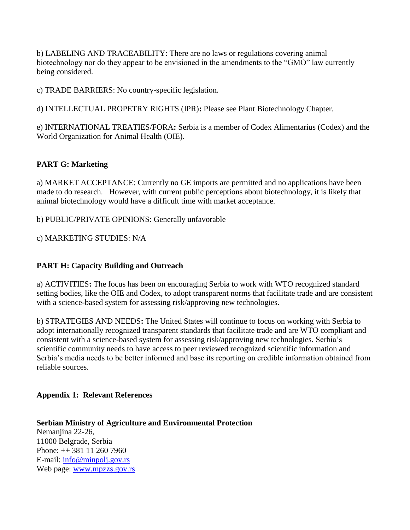b) LABELING AND TRACEABILITY: There are no laws or regulations covering animal biotechnology nor do they appear to be envisioned in the amendments to the "GMO" law currently being considered.

c) TRADE BARRIERS: No country-specific legislation.

d) INTELLECTUAL PROPETRY RIGHTS (IPR)**:** Please see Plant Biotechnology Chapter.

e) INTERNATIONAL TREATIES/FORA**:** Serbia is a member of Codex Alimentarius (Codex) and the World Organization for Animal Health (OIE).

# **PART G: Marketing**

a) MARKET ACCEPTANCE: Currently no GE imports are permitted and no applications have been made to do research. However, with current public perceptions about biotechnology, it is likely that animal biotechnology would have a difficult time with market acceptance.

b) PUBLIC/PRIVATE OPINIONS: Generally unfavorable

c) MARKETING STUDIES: N/A

## **PART H: Capacity Building and Outreach**

a) ACTIVITIES**:** The focus has been on encouraging Serbia to work with WTO recognized standard setting bodies, like the OIE and Codex, to adopt transparent norms that facilitate trade and are consistent with a science-based system for assessing risk/approving new technologies.

b) STRATEGIES AND NEEDS**:** The United States will continue to focus on working with Serbia to adopt internationally recognized transparent standards that facilitate trade and are WTO compliant and consistent with a science-based system for assessing risk/approving new technologies. Serbia's scientific community needs to have access to peer reviewed recognized scientific information and Serbia's media needs to be better informed and base its reporting on credible information obtained from reliable sources.

#### **Appendix 1: Relevant References**

**Serbian Ministry of Agriculture and Environmental Protection**  Nemanjina 22-26, 11000 Belgrade, Serbia Phone: ++ 381 11 260 7960 E-mail: [info@minpolj.gov.rs](mailto:info@minpolj.gov.rs) Web page: [www.mpzzs.gov.rs](http://www.mpzzs.gov.rs/)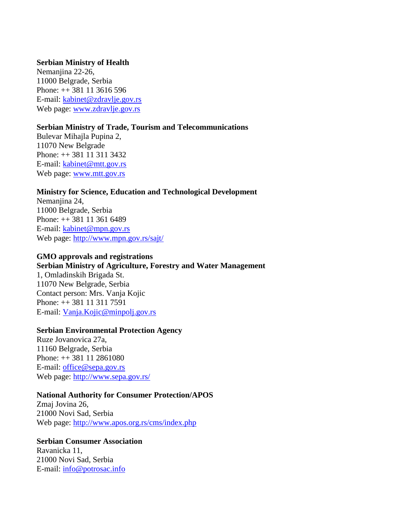#### **Serbian Ministry of Health**

Nemanjina 22-26, 11000 Belgrade, Serbia Phone: ++ 381 11 3616 596 E-mail: [kabinet@zdravlje.gov.rs](mailto:kabinet@zdravlje.gov.rs) Web page: [www.zdravlje.gov.rs](http://www.zdravlje.gov.rs/)

#### **Serbian Ministry of Trade, Tourism and Telecommunications**

Bulevar Mihajla Pupina 2, 11070 New Belgrade Phone: ++ 381 11 311 3432 E-mail: [kabinet@mtt.gov.rs](mailto:kabinet@mtt.gov.rs) Web page: [www.mtt.gov.rs](http://www.mtt.gov.rs/)

#### **Ministry for Science, Education and Technological Development**

Nemanjina 24, 11000 Belgrade, Serbia Phone: ++ 381 11 361 6489 E-mail: [kabinet@mpn.gov.rs](mailto:kabinet@mpn.gov.rs) Web page:<http://www.mpn.gov.rs/sajt/>

#### **GMO approvals and registrations**

#### **Serbian Ministry of Agriculture, Forestry and Water Management**

1, Omladinskih Brigada St. 11070 New Belgrade, Serbia Contact person: Mrs. Vanja Kojic Phone: ++ 381 11 311 7591 E-mail: [Vanja.Kojic@minpolj.gov.rs](mailto:Vanja.Kojic@minpolj.gov.rs)

#### **Serbian Environmental Protection Agency**

Ruze Jovanovica 27a, 11160 Belgrade, Serbia Phone: ++ 381 11 2861080 E-mail: [office@sepa.gov.rs](mailto:office@sepa.gov.rs) Web page:<http://www.sepa.gov.rs/>

#### **National Authority for Consumer Protection/APOS**

Zmaj Jovina 26, 21000 Novi Sad, Serbia Web page:<http://www.apos.org.rs/cms/index.php>

#### **Serbian Consumer Association**  Ravanicka 11, 21000 Novi Sad, Serbia E-mail: [info@potrosac.info](mailto:info@potrosac.info)